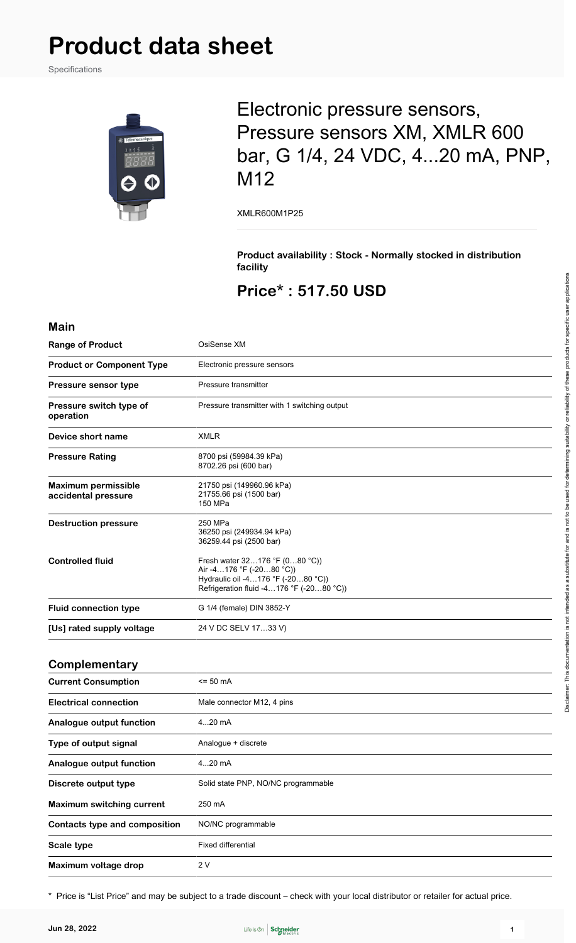Specifications



## Electronic pressure sensors, Pressure sensors XM, XMLR 600 bar, G 1/4, 24 VDC, 4...20 mA, PNP, M12

XMLR600M1P25

**Product availability : Stock - Normally stocked in distribution facility**

### **Price\* : 517.50 USD**

#### **Main**

| <b>Range of Product</b>                           | OsiSense XM                                                                                                                                  |
|---------------------------------------------------|----------------------------------------------------------------------------------------------------------------------------------------------|
| <b>Product or Component Type</b>                  | Electronic pressure sensors                                                                                                                  |
| Pressure sensor type                              | Pressure transmitter                                                                                                                         |
| Pressure switch type of<br>operation              | Pressure transmitter with 1 switching output                                                                                                 |
| Device short name                                 | <b>XMLR</b>                                                                                                                                  |
| <b>Pressure Rating</b>                            | 8700 psi (59984.39 kPa)<br>8702.26 psi (600 bar)                                                                                             |
| <b>Maximum permissible</b><br>accidental pressure | 21750 psi (149960.96 kPa)<br>21755.66 psi (1500 bar)<br>150 MPa                                                                              |
| <b>Destruction pressure</b>                       | 250 MPa<br>36250 psi (249934.94 kPa)<br>36259.44 psi (2500 bar)                                                                              |
| <b>Controlled fluid</b>                           | Fresh water 32176 °F (080 °C))<br>Air -4176 °F (-2080 °C))<br>Hydraulic oil -4176 °F (-2080 °C))<br>Refrigeration fluid -4176 °F (-2080 °C)) |
| <b>Fluid connection type</b>                      | G 1/4 (female) DIN 3852-Y                                                                                                                    |
| [Us] rated supply voltage                         | 24 V DC SELV 1733 V)                                                                                                                         |
| Complementary                                     |                                                                                                                                              |
| <b>Current Consumption</b>                        | <= 50 mA                                                                                                                                     |
| <b>Electrical connection</b>                      | Male connector M12, 4 pins                                                                                                                   |
| Analogue output function                          | 420 mA                                                                                                                                       |
| Type of output signal                             | Analogue + discrete                                                                                                                          |
| Analogue output function                          | 420 mA                                                                                                                                       |
| Discrete output type                              | Solid state PNP, NO/NC programmable                                                                                                          |
| <b>Maximum switching current</b>                  | 250 mA                                                                                                                                       |
| Contacts type and composition                     | NO/NC programmable                                                                                                                           |
| Scale type                                        | Fixed differential                                                                                                                           |
| Maximum voltage drop                              | 2V                                                                                                                                           |

\* Price is "List Price" and may be subject to a trade discount – check with your local distributor or retailer for actual price.

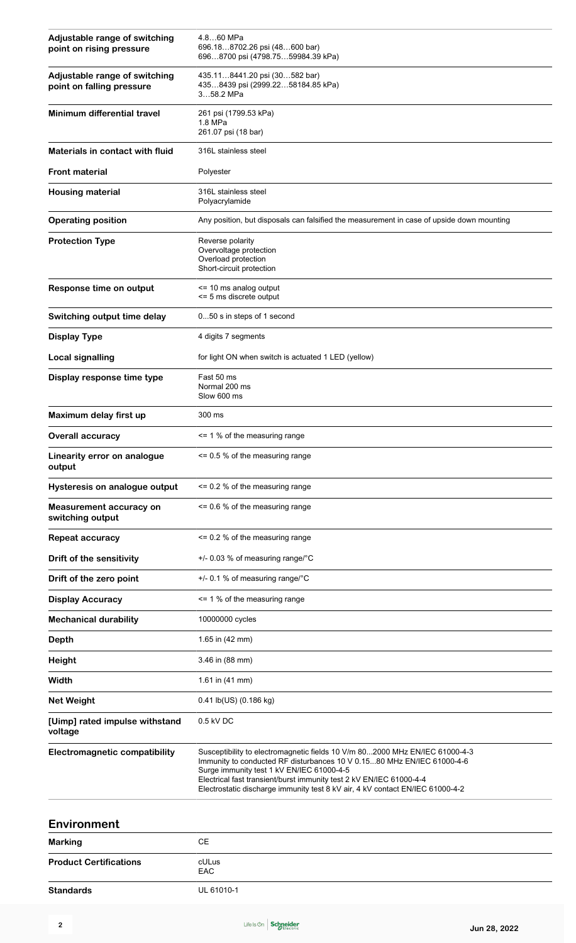| Adjustable range of switching<br>point on rising pressure  | 4.8…60 MPa<br>696.188702.26 psi (48600 bar)<br>6968700 psi (4798.7559984.39 kPa)                                                                                                                                                                                                                                                                           |
|------------------------------------------------------------|------------------------------------------------------------------------------------------------------------------------------------------------------------------------------------------------------------------------------------------------------------------------------------------------------------------------------------------------------------|
| Adjustable range of switching<br>point on falling pressure | 435.118441.20 psi (30582 bar)<br>4358439 psi (2999.2258184.85 kPa)<br>358.2 MPa                                                                                                                                                                                                                                                                            |
| Minimum differential travel                                | 261 psi (1799.53 kPa)<br>1.8 MPa<br>261.07 psi (18 bar)                                                                                                                                                                                                                                                                                                    |
| Materials in contact with fluid                            | 316L stainless steel                                                                                                                                                                                                                                                                                                                                       |
| <b>Front material</b>                                      | Polyester                                                                                                                                                                                                                                                                                                                                                  |
| <b>Housing material</b>                                    | 316L stainless steel<br>Polyacrylamide                                                                                                                                                                                                                                                                                                                     |
| <b>Operating position</b>                                  | Any position, but disposals can falsified the measurement in case of upside down mounting                                                                                                                                                                                                                                                                  |
| <b>Protection Type</b>                                     | Reverse polarity<br>Overvoltage protection<br>Overload protection<br>Short-circuit protection                                                                                                                                                                                                                                                              |
| Response time on output                                    | <= 10 ms analog output<br><= 5 ms discrete output                                                                                                                                                                                                                                                                                                          |
| Switching output time delay                                | 050 s in steps of 1 second                                                                                                                                                                                                                                                                                                                                 |
| <b>Display Type</b>                                        | 4 digits 7 segments                                                                                                                                                                                                                                                                                                                                        |
| Local signalling                                           | for light ON when switch is actuated 1 LED (yellow)                                                                                                                                                                                                                                                                                                        |
| Display response time type                                 | Fast 50 ms<br>Normal 200 ms<br>Slow 600 ms                                                                                                                                                                                                                                                                                                                 |
| Maximum delay first up                                     | 300 ms                                                                                                                                                                                                                                                                                                                                                     |
| <b>Overall accuracy</b>                                    | <= 1 % of the measuring range                                                                                                                                                                                                                                                                                                                              |
| Linearity error on analogue<br>output                      | $\leq$ 0.5 % of the measuring range                                                                                                                                                                                                                                                                                                                        |
| Hysteresis on analogue output                              | $\leq$ 0.2 % of the measuring range                                                                                                                                                                                                                                                                                                                        |
| <b>Measurement accuracy on</b><br>switching output         | $\leq$ 0.6 % of the measuring range                                                                                                                                                                                                                                                                                                                        |
| <b>Repeat accuracy</b>                                     | $\leq$ 0.2 % of the measuring range                                                                                                                                                                                                                                                                                                                        |
| Drift of the sensitivity                                   | +/- 0.03 % of measuring range/°C                                                                                                                                                                                                                                                                                                                           |
| Drift of the zero point                                    | +/- 0.1 % of measuring range/°C                                                                                                                                                                                                                                                                                                                            |
| <b>Display Accuracy</b>                                    | <= 1 % of the measuring range                                                                                                                                                                                                                                                                                                                              |
| <b>Mechanical durability</b>                               | 10000000 cycles                                                                                                                                                                                                                                                                                                                                            |
| <b>Depth</b>                                               | 1.65 in (42 mm)                                                                                                                                                                                                                                                                                                                                            |
| <b>Height</b>                                              | 3.46 in (88 mm)                                                                                                                                                                                                                                                                                                                                            |
| Width                                                      | 1.61 in (41 mm)                                                                                                                                                                                                                                                                                                                                            |
| <b>Net Weight</b>                                          | 0.41 lb(US) (0.186 kg)                                                                                                                                                                                                                                                                                                                                     |
| [Uimp] rated impulse withstand<br>voltage                  | 0.5 kV DC                                                                                                                                                                                                                                                                                                                                                  |
| <b>Electromagnetic compatibility</b>                       | Susceptibility to electromagnetic fields 10 V/m 802000 MHz EN/IEC 61000-4-3<br>Immunity to conducted RF disturbances 10 V 0.1580 MHz EN/IEC 61000-4-6<br>Surge immunity test 1 kV EN/IEC 61000-4-5<br>Electrical fast transient/burst immunity test 2 kV EN/IEC 61000-4-4<br>Electrostatic discharge immunity test 8 kV air, 4 kV contact EN/IEC 61000-4-2 |

| Environment                   |                     |  |
|-------------------------------|---------------------|--|
| <b>Marking</b>                | CЕ                  |  |
| <b>Product Certifications</b> | cULus<br><b>EAC</b> |  |
| <b>Standards</b>              | UL 61010-1          |  |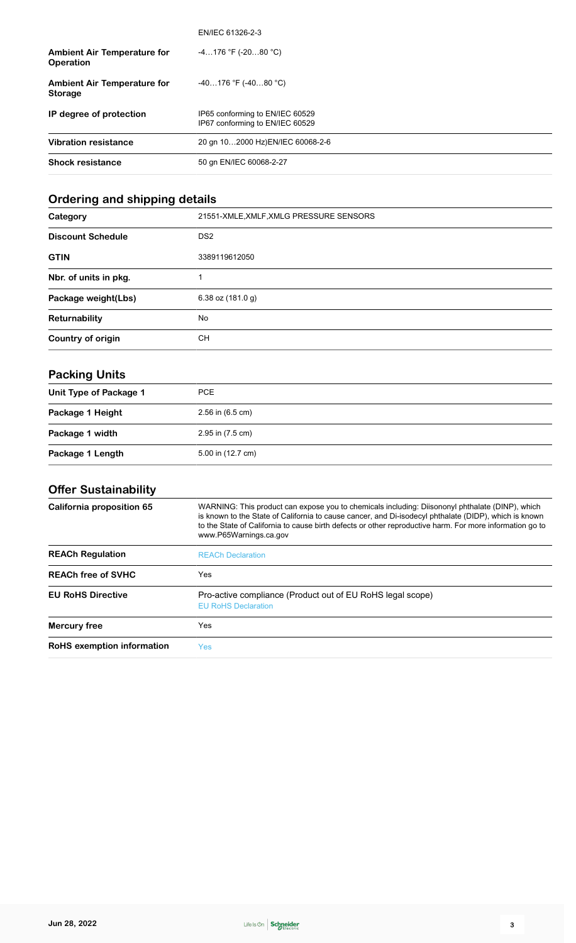|                                                      | EN/IEC 61326-2-3                                                   |
|------------------------------------------------------|--------------------------------------------------------------------|
| <b>Ambient Air Temperature for</b><br>Operation      | $-4176$ °F (-2080 °C)                                              |
| <b>Ambient Air Temperature for</b><br><b>Storage</b> | $-40176$ °F (-4080 °C)                                             |
| IP degree of protection                              | IP65 conforming to EN/IEC 60529<br>IP67 conforming to EN/IEC 60529 |
| <b>Vibration resistance</b>                          | 20 gn 102000 Hz)EN/IEC 60068-2-6                                   |
| <b>Shock resistance</b>                              | 50 gn EN/IEC 60068-2-27                                            |

### **Ordering and shipping details**

| Category                 | 21551-XMLE, XMLF, XMLG PRESSURE SENSORS |
|--------------------------|-----------------------------------------|
| <b>Discount Schedule</b> | DS <sub>2</sub>                         |
| <b>GTIN</b>              | 3389119612050                           |
| Nbr. of units in pkg.    |                                         |
| Package weight(Lbs)      | 6.38 oz $(181.0 g)$                     |
| Returnability            | No                                      |
| Country of origin        | CН                                      |

### **Packing Units**

| Unit Type of Package 1 | PCE                  |
|------------------------|----------------------|
| Package 1 Height       | $2.56$ in $(6.5$ cm) |
| Package 1 width        | 2.95 in (7.5 cm)     |
| Package 1 Length       | 5.00 in (12.7 cm)    |

### **Offer Sustainability**

| WARNING: This product can expose you to chemicals including: Diisononyl phthalate (DINP), which<br>is known to the State of California to cause cancer, and Di-isodecyl phthalate (DIDP), which is known<br>to the State of California to cause birth defects or other reproductive harm. For more information go to<br>www.P65Warnings.ca.gov |
|------------------------------------------------------------------------------------------------------------------------------------------------------------------------------------------------------------------------------------------------------------------------------------------------------------------------------------------------|
| <b>REACh Declaration</b>                                                                                                                                                                                                                                                                                                                       |
| Yes                                                                                                                                                                                                                                                                                                                                            |
| Pro-active compliance (Product out of EU RoHS legal scope)<br><b>EU RoHS Declaration</b>                                                                                                                                                                                                                                                       |
| Yes                                                                                                                                                                                                                                                                                                                                            |
| Yes                                                                                                                                                                                                                                                                                                                                            |
|                                                                                                                                                                                                                                                                                                                                                |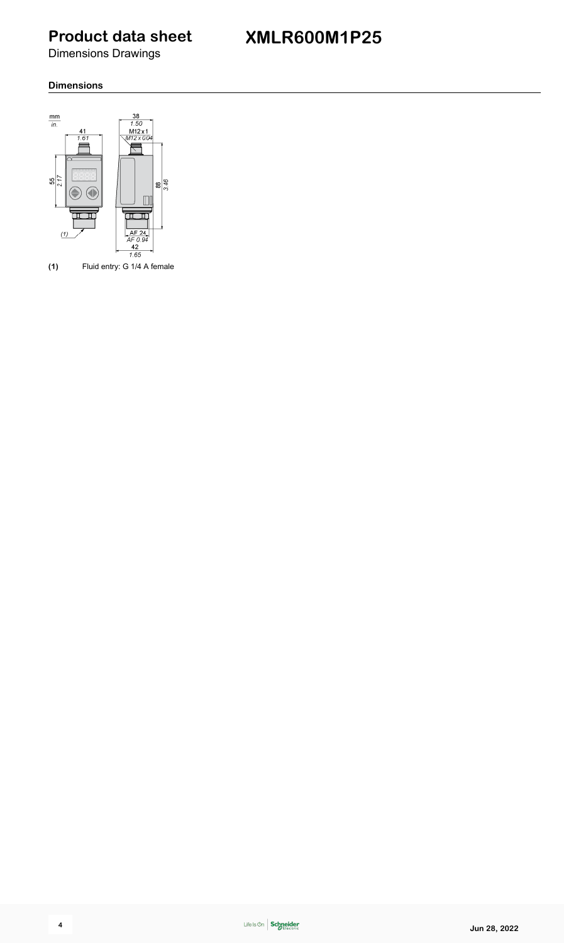Dimensions Drawings

#### **Dimensions**



**(1)** Fluid entry: G 1/4 A female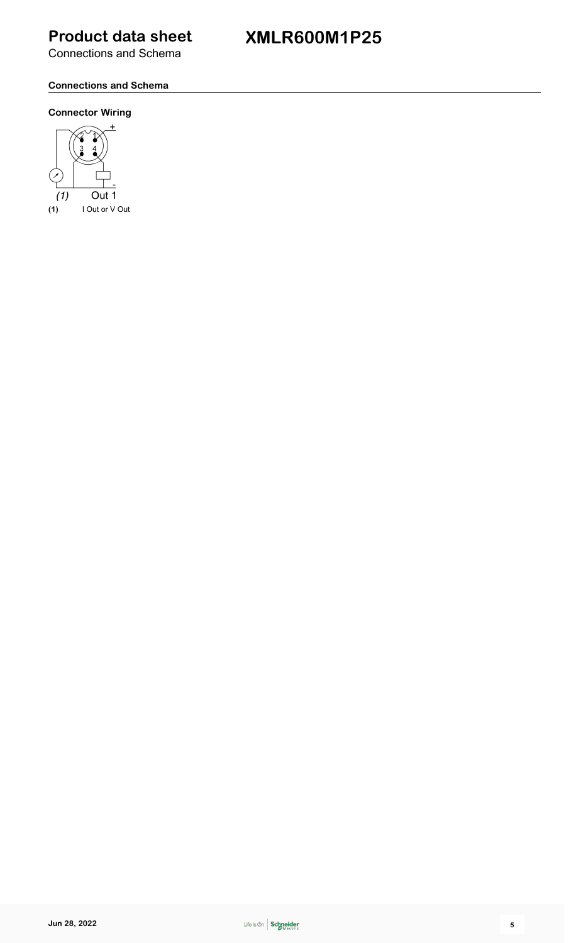**XMLR600M1P25**

Connections and Schema

#### **Connections and Schema**

#### **Connector Wiring**

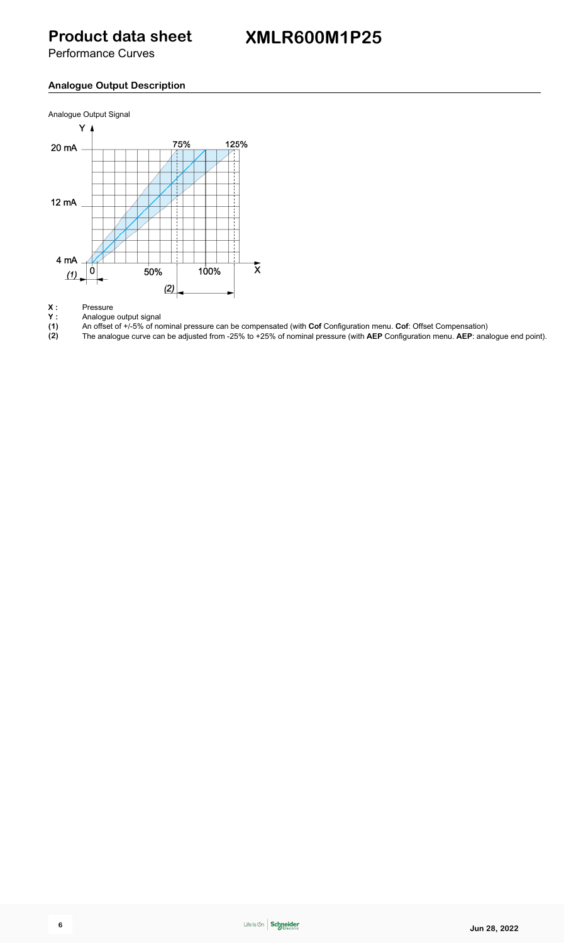Performance Curves

### **Analogue Output Description**



**Y :** Analogue output signal

**X** : Pressure<br> **Y** : Analogue<br>
(1) An offset **(1)** An offset of +/-5% of nominal pressure can be compensated (with **Cof** Configuration menu. **Cof**: Offset Compensation)

**(2)** The analogue curve can be adjusted from -25% to +25% of nominal pressure (with **AEP** Configuration menu. **AEP**: analogue end point).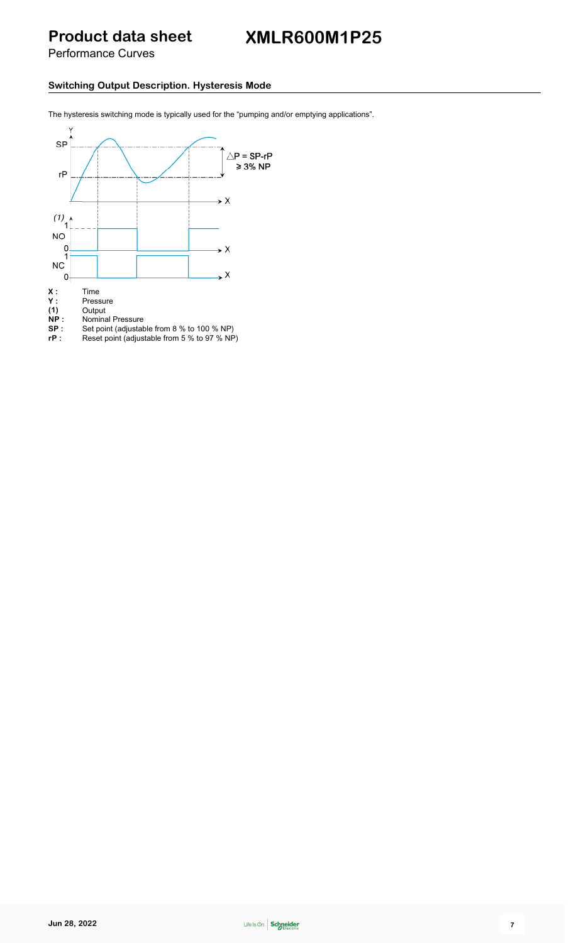Performance Curves

#### **Switching Output Description. Hysteresis Mode**

The hysteresis switching mode is typically used for the "pumping and/or emptying applications".

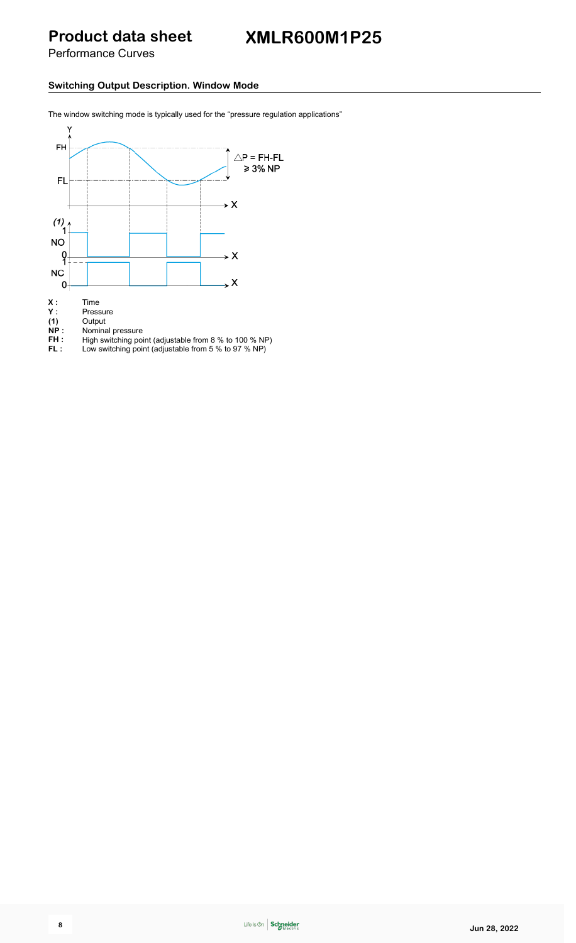Performance Curves

#### **Switching Output Description. Window Mode**

The window switching mode is typically used for the "pressure regulation applications"



- **(1)** Output
- **Y :** Pressure<br> **(1)** Output<br> **NP :** Nominal **NP :** Nominal pressure
- **FH** : High switching point (adjustable from 8 % to 100 % NP)
- **FL :** Low switching point (adjustable from 5 % to 97 % NP)